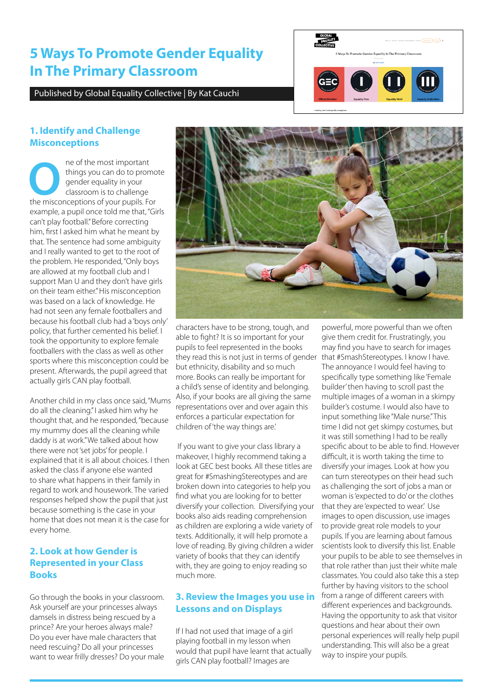# **5 Ways To Promote Gender Equality In The Primary Classroom**

Published by Global Equality Collective | By Kat Cauchi



### **1. Identify and Challenge Misconceptions**

**O**ne of the most important the misconceptions of your pupils. For things you can do to promote gender equality in your classroom is to challenge example, a pupil once told me that, "Girls can't play football." Before correcting him, first I asked him what he meant by that. The sentence had some ambiguity and I really wanted to get to the root of the problem. He responded, "Only boys are allowed at my football club and I support Man U and they don't have girls on their team either." His misconception was based on a lack of knowledge. He had not seen any female footballers and because his football club had a 'boys only' policy, that further cemented his belief. I took the opportunity to explore female footballers with the class as well as other sports where this misconception could be present. Afterwards, the pupil agreed that actually girls CAN play football.

Another child in my class once said, "Mums do all the cleaning." I asked him why he thought that, and he responded, "because my mummy does all the cleaning while daddy is at work." We talked about how there were not 'set jobs' for people. I explained that it is all about choices. I then asked the class if anyone else wanted to share what happens in their family in regard to work and housework. The varied responses helped show the pupil that just because something is the case in your home that does not mean it is the case for every home.

## **2. Look at how Gender is Represented in your Class Books**

Go through the books in your classroom. Ask yourself are your princesses always damsels in distress being rescued by a prince? Are your heroes always male? Do you ever have male characters that need rescuing? Do all your princesses want to wear frilly dresses? Do your male



characters have to be strong, tough, and able to fight? It is so important for your pupils to feel represented in the books they read this is not just in terms of gender but ethnicity, disability and so much more. Books can really be important for a child's sense of identity and belonging. Also, if your books are all giving the same representations over and over again this enforces a particular expectation for children of 'the way things are.'

 If you want to give your class library a makeover, I highly recommend taking a look at GEC best books. All these titles are great for #SmashingStereotypes and are broken down into categories to help you find what you are looking for to better diversify your collection. Diversifying your books also aids reading comprehension as children are exploring a wide variety of texts. Additionally, it will help promote a love of reading. By giving children a wider variety of books that they can identify with, they are going to enjoy reading so much more.

#### **3. Review the Images you use in Lessons and on Displays**

If I had not used that image of a girl playing football in my lesson when would that pupil have learnt that actually girls CAN play football? Images are

powerful, more powerful than we often give them credit for. Frustratingly, you may find you have to search for images that #SmashStereotypes. I know I have. The annoyance I would feel having to specifically type something like 'Female builder' then having to scroll past the multiple images of a woman in a skimpy builder's costume. I would also have to input something like "Male nurse." This time I did not get skimpy costumes, but it was still something I had to be really specific about to be able to find. However difficult, it is worth taking the time to diversify your images. Look at how you can turn stereotypes on their head such as challenging the sort of jobs a man or woman is 'expected to do' or the clothes that they are 'expected to wear.' Use images to open discussion, use images to provide great role models to your pupils. If you are learning about famous scientists look to diversify this list. Enable your pupils to be able to see themselves in that role rather than just their white male classmates. You could also take this a step further by having visitors to the school from a range of different careers with different experiences and backgrounds. Having the opportunity to ask that visitor questions and hear about their own personal experiences will really help pupil understanding. This will also be a great way to inspire your pupils.